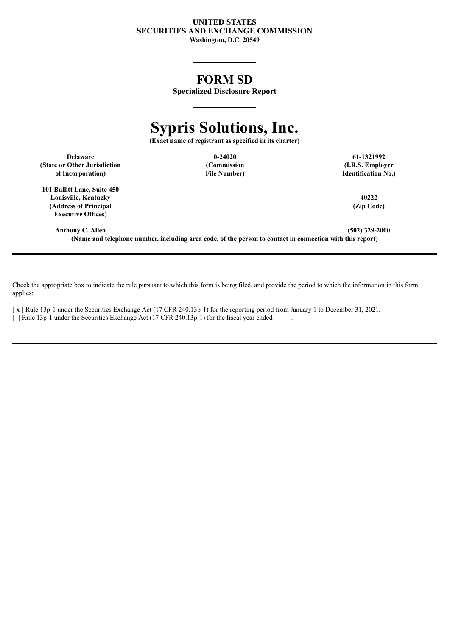#### **UNITED STATES SECURITIES AND EXCHANGE COMMISSION Washington, D.C. 20549**

# **FORM SD**

**Specialized Disclosure Report**

# **Sypris Solutions, Inc.**

**(Exact name of registrant as specified in its charter)**

**Delaware 0-24020 61-1321992 (State or Other Jurisdiction of Incorporation)**

**(Commission File Number)**

**(I.R.S. Employer Identification No.)**

**101 Bullitt Lane, Suite 450 Louisville, Kentucky 40222 (Address of Principal Executive Offices)**

**(Zip Code)**

**Anthony C. Allen (502) 329-2000 (Name and telephone number, including area code, of the person to contact in connection with this report)**

Check the appropriate box to indicate the rule pursuant to which this form is being filed, and provide the period to which the information in this form applies:

[ x ] Rule 13p-1 under the Securities Exchange Act (17 CFR 240.13p-1) for the reporting period from January 1 to December 31, 2021. [ ] Rule 13p-1 under the Securities Exchange Act (17 CFR 240.13p-1) for the fiscal year ended \_\_\_\_\_.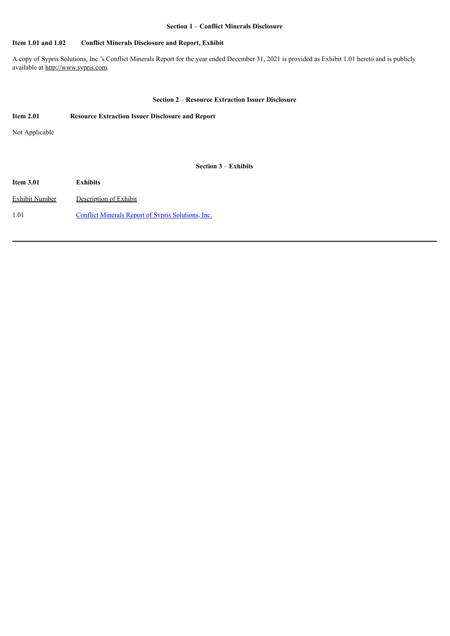#### **Section 1** – **Conflict Minerals Disclosure**

#### **Item 1.01 and 1.02 Conflict Minerals Disclosure and Report, Exhibit**

A copy of Sypris Solutions, Inc.'s Conflict Minerals Report for the year ended December 31, 2021 is provided as Exhibit 1.01 hereto and is publicly available at http://www.sypris.com.

#### **Section 2** – **Resource Extraction Issuer Disclosure**

| <b>Item 2.01</b>      | <b>Resource Extraction Issuer Disclosure and Report</b>   |
|-----------------------|-----------------------------------------------------------|
| Not Applicable        |                                                           |
|                       |                                                           |
|                       | <b>Section 3 – Exhibits</b>                               |
| <b>Item 3.01</b>      | <b>Exhibits</b>                                           |
| <b>Exhibit Number</b> | Description of Exhibit                                    |
| 1.01                  | <b>Conflict Minerals Report of Sypris Solutions, Inc.</b> |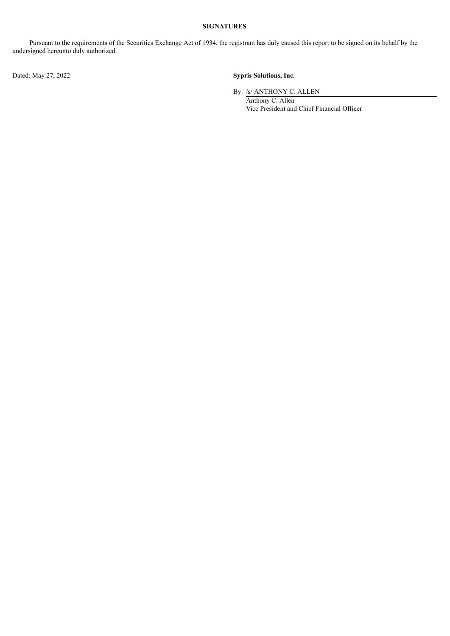## **SIGNATURES**

Pursuant to the requirements of the Securities Exchange Act of 1934, the registrant has duly caused this report to be signed on its behalf by the undersigned hereunto duly authorized.

Dated: May 27, 2022 **Sypris Solutions, Inc.**

By: /s/ ANTHONY C. ALLEN

Anthony C. Allen Vice President and Chief Financial Officer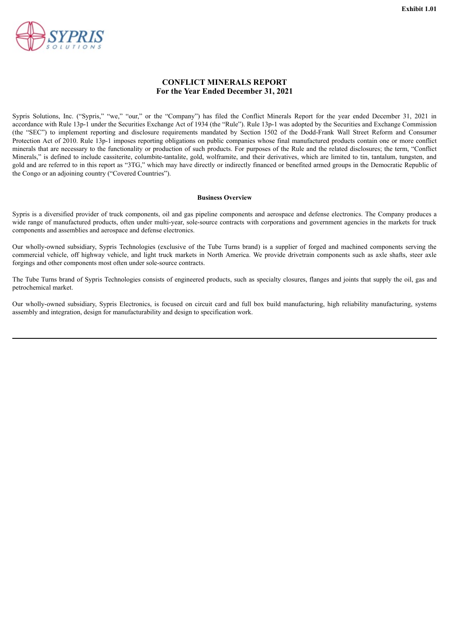<span id="page-3-0"></span>

### **CONFLICT MINERALS REPORT For the Year Ended December 31, 2021**

Sypris Solutions, Inc. ("Sypris," "we," "our," or the "Company") has filed the Conflict Minerals Report for the year ended December 31, 2021 in accordance with Rule 13p-1 under the Securities Exchange Act of 1934 (the "Rule"). Rule 13p-1 was adopted by the Securities and Exchange Commission (the "SEC") to implement reporting and disclosure requirements mandated by Section 1502 of the Dodd-Frank Wall Street Reform and Consumer Protection Act of 2010. Rule 13p-1 imposes reporting obligations on public companies whose final manufactured products contain one or more conflict minerals that are necessary to the functionality or production of such products. For purposes of the Rule and the related disclosures; the term, "Conflict Minerals," is defined to include cassiterite, columbite-tantalite, gold, wolframite, and their derivatives, which are limited to tin, tantalum, tungsten, and gold and are referred to in this report as "3TG," which may have directly or indirectly financed or benefited armed groups in the Democratic Republic of the Congo or an adjoining country ("Covered Countries").

#### **Business Overview**

Sypris is a diversified provider of truck components, oil and gas pipeline components and aerospace and defense electronics. The Company produces a wide range of manufactured products, often under multi-year, sole-source contracts with corporations and government agencies in the markets for truck components and assemblies and aerospace and defense electronics.

Our wholly-owned subsidiary, Sypris Technologies (exclusive of the Tube Turns brand) is a supplier of forged and machined components serving the commercial vehicle, off highway vehicle, and light truck markets in North America. We provide drivetrain components such as axle shafts, steer axle forgings and other components most often under sole-source contracts.

The Tube Turns brand of Sypris Technologies consists of engineered products, such as specialty closures, flanges and joints that supply the oil, gas and petrochemical market.

Our wholly-owned subsidiary, Sypris Electronics, is focused on circuit card and full box build manufacturing, high reliability manufacturing, systems assembly and integration, design for manufacturability and design to specification work.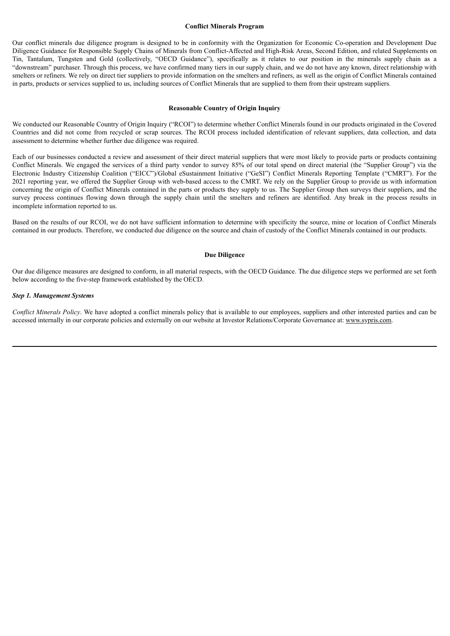#### **Conflict Minerals Program**

Our conflict minerals due diligence program is designed to be in conformity with the Organization for Economic Co-operation and Development Due Diligence Guidance for Responsible Supply Chains of Minerals from Conflict-Affected and High-Risk Areas, Second Edition, and related Supplements on Tin, Tantalum, Tungsten and Gold (collectively, "OECD Guidance"), specifically as it relates to our position in the minerals supply chain as a "downstream" purchaser. Through this process, we have confirmed many tiers in our supply chain, and we do not have any known, direct relationship with smelters or refiners. We rely on direct tier suppliers to provide information on the smelters and refiners, as well as the origin of Conflict Minerals contained in parts, products or services supplied to us, including sources of Conflict Minerals that are supplied to them from their upstream suppliers.

#### **Reasonable Country of Origin Inquiry**

We conducted our Reasonable Country of Origin Inquiry ("RCOI") to determine whether Conflict Minerals found in our products originated in the Covered Countries and did not come from recycled or scrap sources. The RCOI process included identification of relevant suppliers, data collection, and data assessment to determine whether further due diligence was required.

Each of our businesses conducted a review and assessment of their direct material suppliers that were most likely to provide parts or products containing Conflict Minerals. We engaged the services of a third party vendor to survey 85% of our total spend on direct material (the "Supplier Group") via the Electronic Industry Citizenship Coalition ("EICC")/Global eSustainment Initiative ("GeSI") Conflict Minerals Reporting Template ("CMRT"). For the 2021 reporting year, we offered the Supplier Group with web-based access to the CMRT. We rely on the Supplier Group to provide us with information concerning the origin of Conflict Minerals contained in the parts or products they supply to us. The Supplier Group then surveys their suppliers, and the survey process continues flowing down through the supply chain until the smelters and refiners are identified. Any break in the process results in incomplete information reported to us.

Based on the results of our RCOI, we do not have sufficient information to determine with specificity the source, mine or location of Conflict Minerals contained in our products. Therefore, we conducted due diligence on the source and chain of custody of the Conflict Minerals contained in our products.

#### **Due Diligence**

Our due diligence measures are designed to conform, in all material respects, with the OECD Guidance. The due diligence steps we performed are set forth below according to the five-step framework established by the OECD.

#### *Step 1. Management Systems*

*Conflict Minerals Policy*. We have adopted a conflict minerals policy that is available to our employees, suppliers and other interested parties and can be accessed internally in our corporate policies and externally on our website at Investor Relations/Corporate Governance at: www.sypris.com.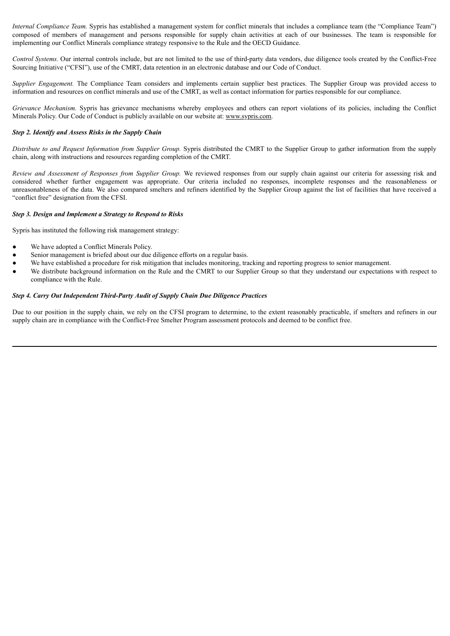*Internal Compliance Team.* Sypris has established a management system for conflict minerals that includes a compliance team (the "Compliance Team") composed of members of management and persons responsible for supply chain activities at each of our businesses. The team is responsible for implementing our Conflict Minerals compliance strategy responsive to the Rule and the OECD Guidance.

*Control Systems.* Our internal controls include, but are not limited to the use of third-party data vendors, due diligence tools created by the Conflict-Free Sourcing Initiative ("CFSI"), use of the CMRT, data retention in an electronic database and our Code of Conduct.

*Supplier Engagement.* The Compliance Team considers and implements certain supplier best practices. The Supplier Group was provided access to information and resources on conflict minerals and use of the CMRT, as well as contact information for parties responsible for our compliance.

*Grievance Mechanism.* Sypris has grievance mechanisms whereby employees and others can report violations of its policies, including the Conflict Minerals Policy. Our Code of Conduct is publicly available on our website at: www.sypris.com.

#### *Step 2. Identify and Assess Risks in the Supply Chain*

*Distribute to and Request Information from Supplier Group.* Sypris distributed the CMRT to the Supplier Group to gather information from the supply chain, along with instructions and resources regarding completion of the CMRT.

*Review and Assessment of Responses from Supplier Group.* We reviewed responses from our supply chain against our criteria for assessing risk and considered whether further engagement was appropriate. Our criteria included no responses, incomplete responses and the reasonableness or unreasonableness of the data. We also compared smelters and refiners identified by the Supplier Group against the list of facilities that have received a "conflict free" designation from the CFSI.

#### *Step 3. Design and Implement a Strategy to Respond to Risks*

Sypris has instituted the following risk management strategy:

- We have adopted a Conflict Minerals Policy.
- Senior management is briefed about our due diligence efforts on a regular basis.
- We have established a procedure for risk mitigation that includes monitoring, tracking and reporting progress to senior management.
- We distribute background information on the Rule and the CMRT to our Supplier Group so that they understand our expectations with respect to compliance with the Rule.

#### *Step 4. Carry Out Independent Third-Party Audit of Supply Chain Due Diligence Practices*

Due to our position in the supply chain, we rely on the CFSI program to determine, to the extent reasonably practicable, if smelters and refiners in our supply chain are in compliance with the Conflict-Free Smelter Program assessment protocols and deemed to be conflict free.